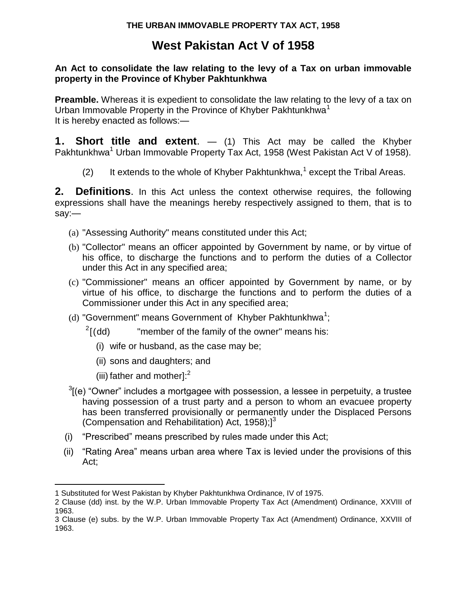# **West Pakistan Act V of 1958**

#### **An Act to consolidate the law relating to the levy of a Tax on urban immovable property in the Province of Khyber Pakhtunkhwa**

**Preamble.** Whereas it is expedient to consolidate the law relating to the levy of a tax on Urban Immovable Property in the Province of Khyber Pakhtunkhwa<sup>1</sup> It is hereby enacted as follows:—

**1. Short title and extent**. — (1) This Act may be called the Khyber Pakhtunkhwa<sup>1</sup> Urban Immovable Property Tax Act, 1958 (West Pakistan Act V of 1958).

(2) It extends to the whole of Khyber Pakhtunkhwa,<sup>1</sup> except the Tribal Areas.

**2. Definitions**. In this Act unless the context otherwise requires, the following expressions shall have the meanings hereby respectively assigned to them, that is to say:—

- (a) "Assessing Authority" means constituted under this Act;
- (b) "Collector" means an officer appointed by Government by name, or by virtue of his office, to discharge the functions and to perform the duties of a Collector under this Act in any specified area;
- (c) "Commissioner" means an officer appointed by Government by name, or by virtue of his office, to discharge the functions and to perform the duties of a Commissioner under this Act in any specified area;
- (d) "Government" means Government of Khyber Pakhtunkhwa<sup>1</sup>;
	- $^{2}$ [(dd) "member of the family of the owner" means his:
		- (i) wife or husband, as the case may be;
		- (ii) sons and daughters; and
		- (iii) father and mother $l$ :<sup>2</sup>

- $3$ [(e) "Owner" includes a mortgagee with possession, a lessee in perpetuity, a trustee having possession of a trust party and a person to whom an evacuee property has been transferred provisionally or permanently under the Displaced Persons (Compensation and Rehabilitation) Act, 1958); $]$ <sup>3</sup>
- (i) "Prescribed" means prescribed by rules made under this Act;
- (ii) "Rating Area" means urban area where Tax is levied under the provisions of this Act;

<sup>1</sup> Substituted for West Pakistan by Khyber Pakhtunkhwa Ordinance, IV of 1975.

<sup>2</sup> Clause (dd) inst. by the W.P. Urban Immovable Property Tax Act (Amendment) Ordinance, XXVIII of 1963.

<sup>3</sup> Clause (e) subs. by the W.P. Urban Immovable Property Tax Act (Amendment) Ordinance, XXVIII of 1963.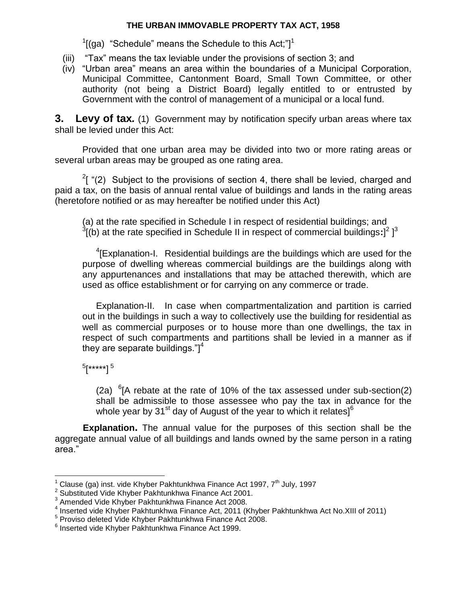$1$ [(ga) "Schedule" means the Schedule to this Act;"] $1$ 

- (iii) "Tax" means the tax leviable under the provisions of section 3; and
- (iv) "Urban area" means an area within the boundaries of a Municipal Corporation, Municipal Committee, Cantonment Board, Small Town Committee, or other authority (not being a District Board) legally entitled to or entrusted by Government with the control of management of a municipal or a local fund.

**3. Levy of tax***.* (1) Government may by notification specify urban areas where tax shall be levied under this Act:

Provided that one urban area may be divided into two or more rating areas or several urban areas may be grouped as one rating area.

 $2$ [ "(2) Subject to the provisions of section 4, there shall be levied, charged and paid a tax, on the basis of annual rental value of buildings and lands in the rating areas (heretofore notified or as may hereafter be notified under this Act)

(a) at the rate specified in Schedule I in respect of residential buildings; and  $^3$ [(b) at the rate specified in Schedule II in respect of commercial buildings:]<sup>2</sup> ]<sup>3</sup>

<sup>4</sup>[Explanation-I. Residential buildings are the buildings which are used for the purpose of dwelling whereas commercial buildings are the buildings along with any appurtenances and installations that may be attached therewith, which are used as office establishment or for carrying on any commerce or trade.

Explanation-II. In case when compartmentalization and partition is carried out in the buildings in such a way to collectively use the building for residential as well as commercial purposes or to house more than one dwellings, the tax in respect of such compartments and partitions shall be levied in a manner as if they are separate buildings." $]$ <sup>4</sup>

5 [\*\*\*\*\*] <sup>5</sup>

 $\overline{a}$ 

(2a)  ${}^{6}$ [A rebate at the rate of 10% of the tax assessed under sub-section(2) shall be admissible to those assessee who pay the tax in advance for the whole year by  $31<sup>st</sup>$  day of August of the year to which it relates]<sup>6</sup>

**Explanation.** The annual value for the purposes of this section shall be the aggregate annual value of all buildings and lands owned by the same person in a rating area."

Clause (ga) inst. vide Khyber Pakhtunkhwa Finance Act 1997, 7<sup>th</sup> July, 1997

<sup>&</sup>lt;sup>2</sup> Substituted Vide Khyber Pakhtunkhwa Finance Act 2001.

<sup>3</sup> Amended Vide Khyber Pakhtunkhwa Finance Act 2008.

<sup>4</sup> Inserted vide Khyber Pakhtunkhwa Finance Act, 2011 (Khyber Pakhtunkhwa Act No.XIII of 2011)

<sup>5</sup> Proviso deleted Vide Khyber Pakhtunkhwa Finance Act 2008.

<sup>6</sup> Inserted vide Khyber Pakhtunkhwa Finance Act 1999.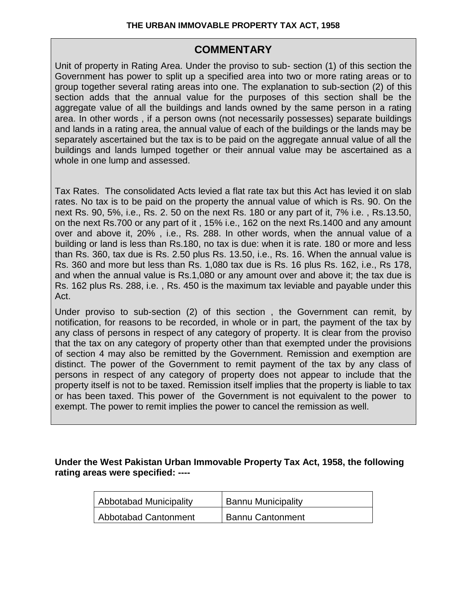### **COMMENTARY**

Unit of property in Rating Area. Under the proviso to sub- section (1) of this section the Government has power to split up a specified area into two or more rating areas or to group together several rating areas into one. The explanation to sub-section (2) of this section adds that the annual value for the purposes of this section shall be the aggregate value of all the buildings and lands owned by the same person in a rating area. In other words , if a person owns (not necessarily possesses) separate buildings and lands in a rating area, the annual value of each of the buildings or the lands may be separately ascertained but the tax is to be paid on the aggregate annual value of all the buildings and lands lumped together or their annual value may be ascertained as a whole in one lump and assessed.

Tax Rates. The consolidated Acts levied a flat rate tax but this Act has levied it on slab rates. No tax is to be paid on the property the annual value of which is Rs. 90. On the next Rs. 90, 5%, i.e., Rs. 2. 50 on the next Rs. 180 or any part of it, 7% i.e. , Rs.13.50, on the next Rs.700 or any part of it , 15% i.e., 162 on the next Rs.1400 and any amount over and above it, 20% , i.e., Rs. 288. In other words, when the annual value of a building or land is less than Rs.180, no tax is due: when it is rate. 180 or more and less than Rs. 360, tax due is Rs. 2.50 plus Rs. 13.50, i.e., Rs. 16. When the annual value is Rs. 360 and more but less than Rs. 1,080 tax due is Rs. 16 plus Rs. 162, i.e., Rs 178, and when the annual value is Rs.1,080 or any amount over and above it; the tax due is Rs. 162 plus Rs. 288, i.e. , Rs. 450 is the maximum tax leviable and payable under this Act.

Under proviso to sub-section (2) of this section , the Government can remit, by notification, for reasons to be recorded, in whole or in part, the payment of the tax by any class of persons in respect of any category of property. It is clear from the proviso that the tax on any category of property other than that exempted under the provisions of section 4 may also be remitted by the Government. Remission and exemption are distinct. The power of the Government to remit payment of the tax by any class of persons in respect of any category of property does not appear to include that the property itself is not to be taxed. Remission itself implies that the property is liable to tax or has been taxed. This power of the Government is not equivalent to the power to exempt. The power to remit implies the power to cancel the remission as well.

**Under the West Pakistan Urban Immovable Property Tax Act, 1958, the following rating areas were specified: ----**

| Abbotabad Municipality      | <b>Bannu Municipality</b> |
|-----------------------------|---------------------------|
| <b>Abbotabad Cantonment</b> | <b>Bannu Cantonment</b>   |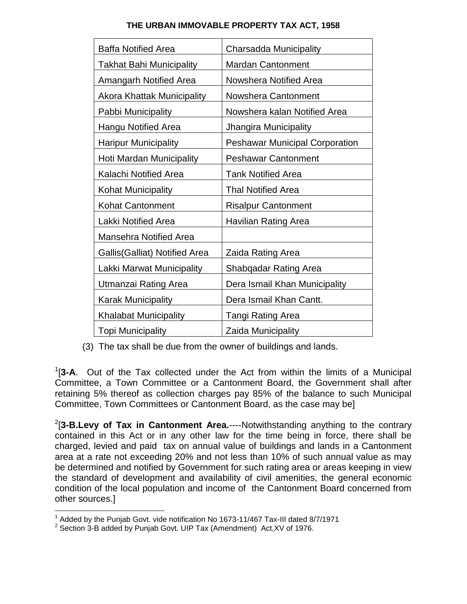| <b>Baffa Notified Area</b>            | Charsadda Municipality                |
|---------------------------------------|---------------------------------------|
| <b>Takhat Bahi Municipality</b>       | <b>Mardan Cantonment</b>              |
| <b>Amangarh Notified Area</b>         | Nowshera Notified Area                |
| <b>Akora Khattak Municipality</b>     | <b>Nowshera Cantonment</b>            |
| Pabbi Municipality                    | Nowshera kalan Notified Area          |
| <b>Hangu Notified Area</b>            | Jhangira Municipality                 |
| <b>Haripur Municipality</b>           | <b>Peshawar Municipal Corporation</b> |
| Hoti Mardan Municipality              | <b>Peshawar Cantonment</b>            |
| Kalachi Notified Area                 | <b>Tank Notified Area</b>             |
| Kohat Municipality                    | <b>Thal Notified Area</b>             |
| <b>Kohat Cantonment</b>               | <b>Risalpur Cantonment</b>            |
| Lakki Notified Area                   | Havilian Rating Area                  |
| Mansehra Notified Area                |                                       |
| <b>Gallis (Galliat) Notified Area</b> | Zaida Rating Area                     |
| Lakki Marwat Municipality             | Shabqadar Rating Area                 |
| Utmanzai Rating Area                  | Dera Ismail Khan Municipality         |
| <b>Karak Municipality</b>             | Dera Ismail Khan Cantt.               |
| <b>Khalabat Municipality</b>          | <b>Tangi Rating Area</b>              |
| <b>Topi Municipality</b>              | Zaida Municipality                    |

(3) The tax shall be due from the owner of buildings and lands.

1 [**3-A**. Out of the Tax collected under the Act from within the limits of a Municipal Committee, a Town Committee or a Cantonment Board, the Government shall after retaining 5% thereof as collection charges pay 85% of the balance to such Municipal Committee, Town Committees or Cantonment Board, as the case may be]

2 [**3-B.Levy of Tax in Cantonment Area.**----Notwithstanding anything to the contrary contained in this Act or in any other law for the time being in force, there shall be charged, levied and paid tax on annual value of buildings and lands in a Cantonment area at a rate not exceeding 20% and not less than 10% of such annual value as may be determined and notified by Government for such rating area or areas keeping in view the standard of development and availability of civil amenities, the general economic condition of the local population and income of the Cantonment Board concerned from other sources.]

 1 Added by the Punjab Govt. vide notification No 1673-11/467 Tax-III dated 8/7/1971

<sup>&</sup>lt;sup>2</sup> Section 3-B added by Punjab Govt. UIP Tax (Amendment) Act, XV of 1976.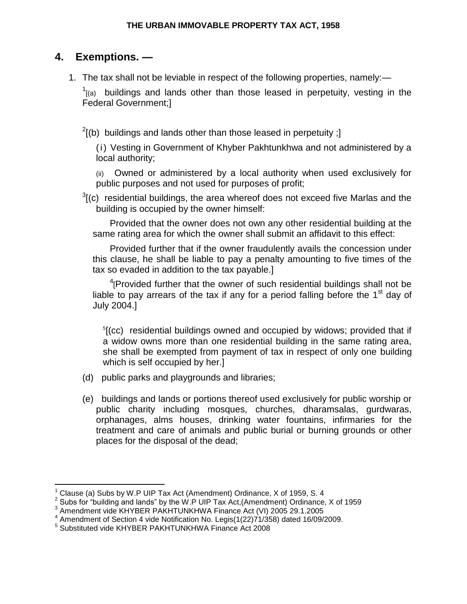## **4. Exemptions. —**

1. The tax shall not be leviable in respect of the following properties, namely:—

 $1$ <sub>[(a)</sub> buildings and lands other than those leased in perpetuity, vesting in the Federal Government;]

 $2$ [(b) buildings and lands other than those leased in perpetuity ;]

(i) Vesting in Government of Khyber Pakhtunkhwa and not administered by a local authority;

(ii) Owned or administered by a local authority when used exclusively for public purposes and not used for purposes of profit;

 $3$ [(c) residential buildings, the area whereof does not exceed five Marlas and the building is occupied by the owner himself:

Provided that the owner does not own any other residential building at the same rating area for which the owner shall submit an affidavit to this effect:

Provided further that if the owner fraudulently avails the concession under this clause, he shall be liable to pay a penalty amounting to five times of the tax so evaded in addition to the tax payable.]

 $4$ <sup>4</sup>[Provided further that the owner of such residential buildings shall not be liable to pay arrears of the tax if any for a period falling before the  $1<sup>st</sup>$  day of July 2004.]

<sup>5</sup>[(cc) residential buildings owned and occupied by widows; provided that if a widow owns more than one residential building in the same rating area, she shall be exempted from payment of tax in respect of only one building which is self occupied by her.]

- (d) public parks and playgrounds and libraries;
- (e) buildings and lands or portions thereof used exclusively for public worship or public charity including mosques, churches, dharamsalas, gurdwaras, orphanages, alms houses, drinking water fountains, infirmaries for the treatment and care of animals and public burial or burning grounds or other places for the disposal of the dead;

<sup>1</sup> Clause (a) Subs by W.P UIP Tax Act (Amendment) Ordinance, X of 1959, S. 4

<sup>&</sup>lt;sup>2</sup> Subs for "building and lands" by the W.P UIP Tax Act, (Amendment) Ordinance, X of 1959

Amendment vide KHYBER PAKHTUNKHWA Finance Act (VI) 2005 29.1.2005

<sup>4</sup> Amendment of Section 4 vide Notification No. Legis(1(22)71/358) dated 16/09/2009.

<sup>5</sup> Substituted vide KHYBER PAKHTUNKHWA Finance Act 2008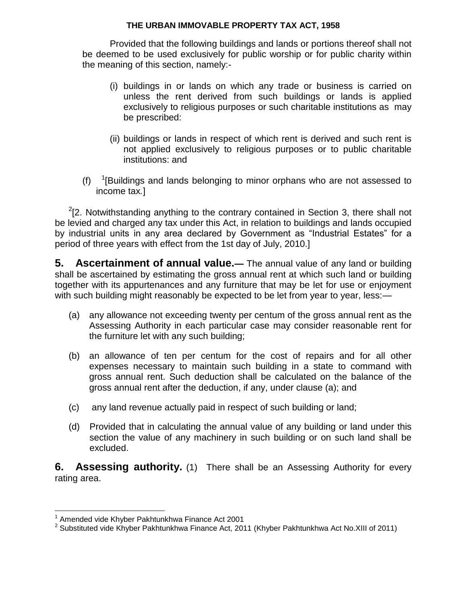Provided that the following buildings and lands or portions thereof shall not be deemed to be used exclusively for public worship or for public charity within the meaning of this section, namely:-

- (i) buildings in or lands on which any trade or business is carried on unless the rent derived from such buildings or lands is applied exclusively to religious purposes or such charitable institutions as may be prescribed:
- (ii) buildings or lands in respect of which rent is derived and such rent is not applied exclusively to religious purposes or to public charitable institutions: and
- $(f)$  $1$ [Buildings and lands belonging to minor orphans who are not assessed to income tax*.*]

 $2$ [2. Notwithstanding anything to the contrary contained in Section 3, there shall not be levied and charged any tax under this Act, in relation to buildings and lands occupied by industrial units in any area declared by Government as "Industrial Estates" for a period of three years with effect from the 1st day of July, 2010.]

**5. Ascertainment of annual value.—** The annual value of any land or building shall be ascertained by estimating the gross annual rent at which such land or building together with its appurtenances and any furniture that may be let for use or enjoyment with such building might reasonably be expected to be let from year to year, less:—

- (a) any allowance not exceeding twenty per centum of the gross annual rent as the Assessing Authority in each particular case may consider reasonable rent for the furniture let with any such building;
- (b) an allowance of ten per centum for the cost of repairs and for all other expenses necessary to maintain such building in a state to command with gross annual rent. Such deduction shall be calculated on the balance of the gross annual rent after the deduction, if any, under clause (a); and
- (c) any land revenue actually paid in respect of such building or land;
- (d) Provided that in calculating the annual value of any building or land under this section the value of any machinery in such building or on such land shall be excluded.

**6. Assessing authority.** (1) There shall be an Assessing Authority for every rating area.

 1 Amended vide Khyber Pakhtunkhwa Finance Act 2001

<sup>&</sup>lt;sup>2</sup> Substituted vide Khyber Pakhtunkhwa Finance Act, 2011 (Khyber Pakhtunkhwa Act No.XIII of 2011)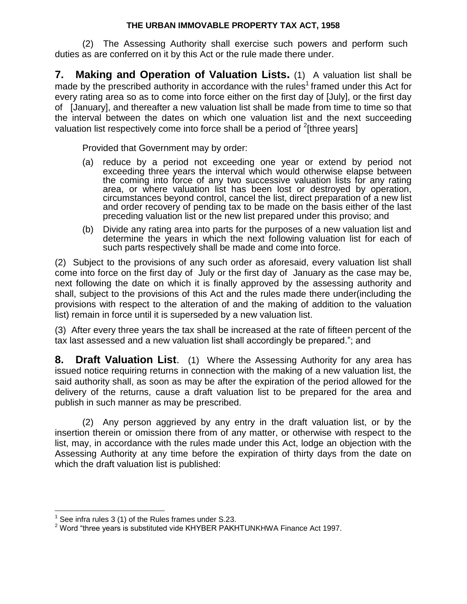(2) The Assessing Authority shall exercise such powers and perform such duties as are conferred on it by this Act or the rule made there under.

**7. Making and Operation of Valuation Lists.** (1) A valuation list shall be made by the prescribed authority in accordance with the rules<sup>1</sup> framed under this Act for every rating area so as to come into force either on the first day of [July], or the first day of [January], and thereafter a new valuation list shall be made from time to time so that the interval between the dates on which one valuation list and the next succeeding valuation list respectively come into force shall be a period of  $2$ [three years]

Provided that Government may by order:

- (a) reduce by a period not exceeding one year or extend by period not exceeding three years the interval which would otherwise elapse between the coming into force of any two successive valuation lists for any rating area, or where valuation list has been lost or destroyed by operation, circumstances beyond control, cancel the list, direct preparation of a new list and order recovery of pending tax to be made on the basis either of the last preceding valuation list or the new list prepared under this proviso; and
- (b) Divide any rating area into parts for the purposes of a new valuation list and determine the years in which the next following valuation list for each of such parts respectively shall be made and come into force.

(2) Subject to the provisions of any such order as aforesaid, every valuation list shall come into force on the first day of July or the first day of January as the case may be, next following the date on which it is finally approved by the assessing authority and shall, subject to the provisions of this Act and the rules made there under(including the provisions with respect to the alteration of and the making of addition to the valuation list) remain in force until it is superseded by a new valuation list.

(3) After every three years the tax shall be increased at the rate of fifteen percent of the tax last assessed and a new valuation list shall accordingly be prepared."; and

**8. Draft Valuation List**. (1) Where the Assessing Authority for any area has issued notice requiring returns in connection with the making of a new valuation list, the said authority shall, as soon as may be after the expiration of the period allowed for the delivery of the returns, cause a draft valuation list to be prepared for the area and publish in such manner as may be prescribed.

(2) Any person aggrieved by any entry in the draft valuation list, or by the insertion therein or omission there from of any matter, or otherwise with respect to the list, may, in accordance with the rules made under this Act, lodge an objection with the Assessing Authority at any time before the expiration of thirty days from the date on which the draft valuation list is published:

 $1$  See infra rules 3 (1) of the Rules frames under S.23.

<sup>&</sup>lt;sup>2</sup> Word "three years is substituted vide KHYBER PAKHTUNKHWA Finance Act 1997.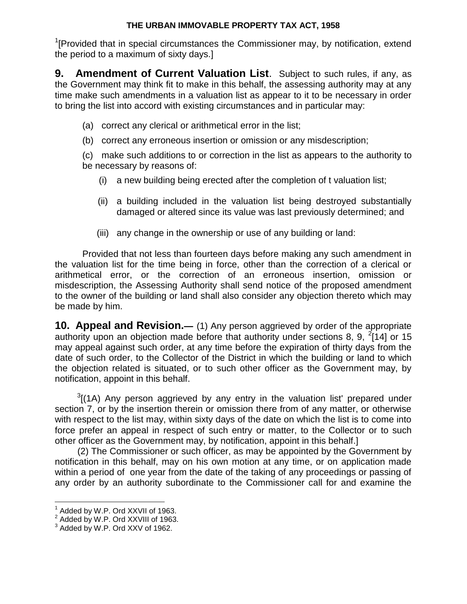<sup>1</sup>[Provided that in special circumstances the Commissioner may, by notification, extend the period to a maximum of sixty days.]

**9. Amendment of Current Valuation List**. Subject to such rules, if any, as the Government may think fit to make in this behalf, the assessing authority may at any time make such amendments in a valuation list as appear to it to be necessary in order to bring the list into accord with existing circumstances and in particular may:

- (a) correct any clerical or arithmetical error in the list;
- (b) correct any erroneous insertion or omission or any misdescription;

(c) make such additions to or correction in the list as appears to the authority to be necessary by reasons of:

- (i) a new building being erected after the completion of t valuation list;
- (ii) a building included in the valuation list being destroyed substantially damaged or altered since its value was last previously determined; and
- (iii) any change in the ownership or use of any building or land:

Provided that not less than fourteen days before making any such amendment in the valuation list for the time being in force, other than the correction of a clerical or arithmetical error, or the correction of an erroneous insertion, omission or misdescription, the Assessing Authority shall send notice of the proposed amendment to the owner of the building or land shall also consider any objection thereto which may be made by him.

**10. Appeal and Revision.—** (1) Any person aggrieved by order of the appropriate authority upon an objection made before that authority under sections 8, 9,  $^{2}[14]$  or 15 may appeal against such order, at any time before the expiration of thirty days from the date of such order, to the Collector of the District in which the building or land to which the objection related is situated, or to such other officer as the Government may, by notification, appoint in this behalf.

 $3$ [(1A) Any person aggrieved by any entry in the valuation list' prepared under section 7, or by the insertion therein or omission there from of any matter, or otherwise with respect to the list may, within sixty days of the date on which the list is to come into force prefer an appeal in respect of such entry or matter, to the Collector or to such other officer as the Government may, by notification, appoint in this behalf.]

(2) The Commissioner or such officer, as may be appointed by the Government by notification in this behalf, may on his own motion at any time, or on application made within a period of one year from the date of the taking of any proceedings or passing of any order by an authority subordinate to the Commissioner call for and examine the

 $1$  Added by W.P. Ord XXVII of 1963.

 $2$  Added by W.P. Ord XXVIII of 1963.

<sup>&</sup>lt;sup>3</sup> Added by W.P. Ord XXV of 1962.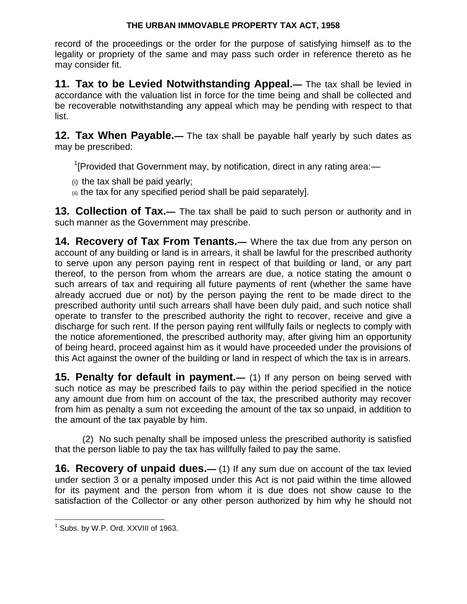record of the proceedings or the order for the purpose of satisfying himself as to the legality or propriety of the same and may pass such order in reference thereto as he may consider fit.

**11. Tax to be Levied Notwithstanding Appeal.—** The tax shall be levied in accordance with the valuation list in force for the time being and shall be collected and be recoverable notwithstanding any appeal which may be pending with respect to that list.

**12. Tax When Payable.—** The tax shall be payable half yearly by such dates as may be prescribed:

 $1$ [Provided that Government may, by notification, direct in any rating area:—

(i) the tax shall be paid yearly;

(ii) the tax for any specified period shall be paid separately].

**13. Collection of Tax.—** The tax shall be paid to such person or authority and in such manner as the Government may prescribe.

**14. Recovery of Tax From Tenants.—** Where the tax due from any person on account of any building or land is in arrears, it shall be lawful for the prescribed authority to serve upon any person paying rent in respect of that building or land, or any part thereof, to the person from whom the arrears are due, a notice stating the amount o such arrears of tax and requiring all future payments of rent (whether the same have already accrued due or not) by the person paying the rent to be made direct to the prescribed authority until such arrears shall have been duly paid, and such notice shall operate to transfer to the prescribed authority the right to recover, receive and give a discharge for such rent. If the person paying rent willfully fails or neglects to comply with the notice aforementioned, the prescribed authority may, after giving him an opportunity of being heard, proceed against him as it would have proceeded under the provisions of this Act against the owner of the building or land in respect of which the tax is in arrears.

**15. Penalty for default in payment.—** (1) If any person on being served with such notice as may be prescribed fails to pay within the period specified in the notice any amount due from him on account of the tax, the prescribed authority may recover from him as penalty a sum not exceeding the amount of the tax so unpaid, in addition to the amount of the tax payable by him.

(2) No such penalty shall be imposed unless the prescribed authority is satisfied that the person liable to pay the tax has willfully failed to pay the same.

**16. Recovery of unpaid dues.**— (1) If any sum due on account of the tax levied under section 3 or a penalty imposed under this Act is not paid within the time allowed for its payment and the person from whom it is due does not show cause to the satisfaction of the Collector or any other person authorized by him why he should not

 $\overline{a}$  $^1$  Subs. by W.P. Ord. XXVIII of 1963.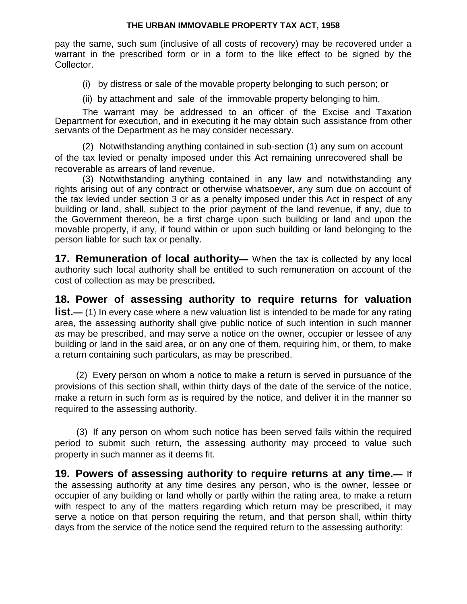pay the same, such sum (inclusive of all costs of recovery) may be recovered under a warrant in the prescribed form or in a form to the like effect to be signed by the Collector.

(i) by distress or sale of the movable property belonging to such person; or

(ii) by attachment and sale of the immovable property belonging to him.

The warrant may be addressed to an officer of the Excise and Taxation Department for execution, and in executing it he may obtain such assistance from other servants of the Department as he may consider necessary.

(2) Notwithstanding anything contained in sub-section (1) any sum on account of the tax levied or penalty imposed under this Act remaining unrecovered shall be recoverable as arrears of land revenue.

(3) Notwithstanding anything contained in any law and notwithstanding any rights arising out of any contract or otherwise whatsoever, any sum due on account of the tax levied under section 3 or as a penalty imposed under this Act in respect of any building or land, shall, subject to the prior payment of the land revenue, if any, due to the Government thereon, be a first charge upon such building or land and upon the movable property, if any, if found within or upon such building or land belonging to the person liable for such tax or penalty.

**17. Remuneration of local authority—** When the tax is collected by any local authority such local authority shall be entitled to such remuneration on account of the cost of collection as may be prescribed*.*

**18. Power of assessing authority to require returns for valuation list.**— (1) In every case where a new valuation list is intended to be made for any rating area, the assessing authority shall give public notice of such intention in such manner as may be prescribed, and may serve a notice on the owner, occupier or lessee of any building or land in the said area, or on any one of them, requiring him, or them, to make a return containing such particulars, as may be prescribed.

(2) Every person on whom a notice to make a return is served in pursuance of the provisions of this section shall, within thirty days of the date of the service of the notice, make a return in such form as is required by the notice, and deliver it in the manner so required to the assessing authority.

(3) If any person on whom such notice has been served fails within the required period to submit such return, the assessing authority may proceed to value such property in such manner as it deems fit.

**19. Powers of assessing authority to require returns at any time.—** If the assessing authority at any time desires any person, who is the owner, lessee or occupier of any building or land wholly or partly within the rating area, to make a return with respect to any of the matters regarding which return may be prescribed, it may serve a notice on that person requiring the return, and that person shall, within thirty days from the service of the notice send the required return to the assessing authority: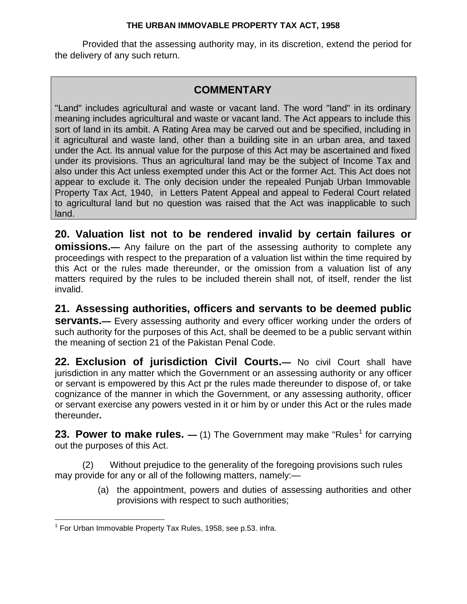Provided that the assessing authority may, in its discretion, extend the period for the delivery of any such return.

## **COMMENTARY**

"Land" includes agricultural and waste or vacant land. The word "land" in its ordinary meaning includes agricultural and waste or vacant land. The Act appears to include this sort of land in its ambit. A Rating Area may be carved out and be specified, including in it agricultural and waste land, other than a building site in an urban area, and taxed under the Act. Its annual value for the purpose of this Act may be ascertained and fixed under its provisions. Thus an agricultural land may be the subject of Income Tax and also under this Act unless exempted under this Act or the former Act. This Act does not appear to exclude it. The only decision under the repealed Punjab Urban Immovable Property Tax Act, 1940, in Letters Patent Appeal and appeal to Federal Court related to agricultural land but no question was raised that the Act was inapplicable to such land.

**20. Valuation list not to be rendered invalid by certain failures or omissions.**— Any failure on the part of the assessing authority to complete any proceedings with respect to the preparation of a valuation list within the time required by this Act or the rules made thereunder, or the omission from a valuation list of any matters required by the rules to be included therein shall not, of itself, render the list invalid.

**21. Assessing authorities, officers and servants to be deemed public servants.**— Every assessing authority and every officer working under the orders of such authority for the purposes of this Act, shall be deemed to be a public servant within the meaning of section 21 of the Pakistan Penal Code.

**22. Exclusion of jurisdiction Civil Courts.—** No civil Court shall have jurisdiction in any matter which the Government or an assessing authority or any officer or servant is empowered by this Act pr the rules made thereunder to dispose of, or take cognizance of the manner in which the Government, or any assessing authority, officer or servant exercise any powers vested in it or him by or under this Act or the rules made thereunder**.**

**23. Power to make rules.** — (1) The Government may make "Rules<sup>1</sup> for carrying out the purposes of this Act.

(2) Without prejudice to the generality of the foregoing provisions such rules may provide for any or all of the following matters, namely:—

> (a) the appointment, powers and duties of assessing authorities and other provisions with respect to such authorities;

 $\overline{a}$  $1$  For Urban Immovable Property Tax Rules, 1958, see p.53. infra.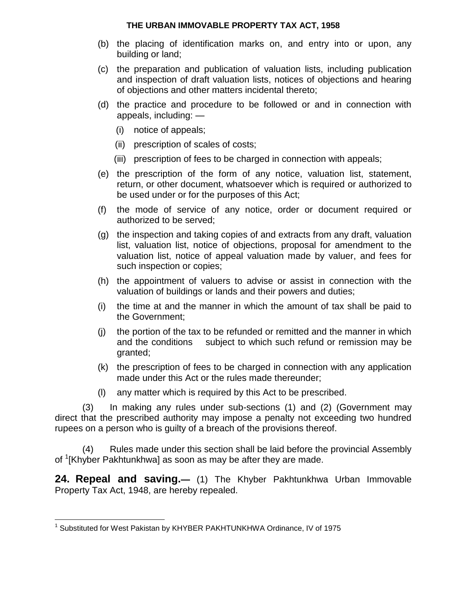- (b) the placing of identification marks on, and entry into or upon, any building or land;
- (c) the preparation and publication of valuation lists, including publication and inspection of draft valuation lists, notices of objections and hearing of objections and other matters incidental thereto;
- (d) the practice and procedure to be followed or and in connection with appeals, including: —
	- (i) notice of appeals;
	- (ii) prescription of scales of costs;
	- (iii) prescription of fees to be charged in connection with appeals;
- (e) the prescription of the form of any notice, valuation list, statement, return, or other document, whatsoever which is required or authorized to be used under or for the purposes of this Act;
- (f) the mode of service of any notice, order or document required or authorized to be served;
- (g) the inspection and taking copies of and extracts from any draft, valuation list, valuation list, notice of objections, proposal for amendment to the valuation list, notice of appeal valuation made by valuer, and fees for such inspection or copies;
- (h) the appointment of valuers to advise or assist in connection with the valuation of buildings or lands and their powers and duties;
- (i) the time at and the manner in which the amount of tax shall be paid to the Government;
- (j) the portion of the tax to be refunded or remitted and the manner in which and the conditions subject to which such refund or remission may be granted;
- (k) the prescription of fees to be charged in connection with any application made under this Act or the rules made thereunder;
- (l) any matter which is required by this Act to be prescribed.

(3) In making any rules under sub-sections (1) and (2) (Government may direct that the prescribed authority may impose a penalty not exceeding two hundred rupees on a person who is guilty of a breach of the provisions thereof.

(4) Rules made under this section shall be laid before the provincial Assembly of <sup>1</sup>[Khyber Pakhtunkhwa] as soon as may be after they are made.

**24. Repeal and saving.—** (1) The Khyber Pakhtunkhwa Urban Immovable Property Tax Act, 1948, are hereby repealed.

 $\overline{a}$ <sup>1</sup> Substituted for West Pakistan by KHYBER PAKHTUNKHWA Ordinance, IV of 1975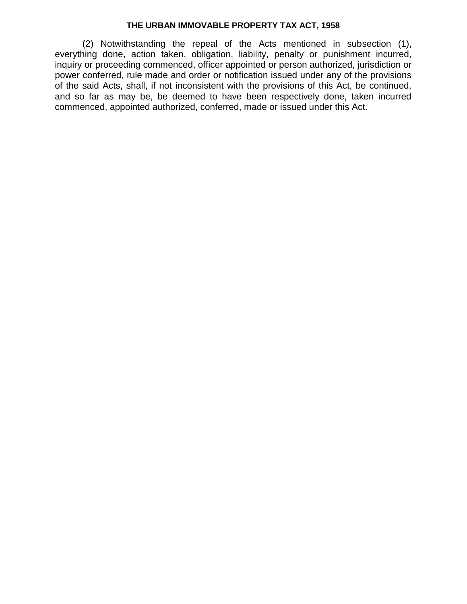(2) Notwithstanding the repeal of the Acts mentioned in subsection (1), everything done, action taken, obligation, liability, penalty or punishment incurred, inquiry or proceeding commenced, officer appointed or person authorized, jurisdiction or power conferred, rule made and order or notification issued under any of the provisions of the said Acts, shall, if not inconsistent with the provisions of this Act, be continued, and so far as may be, be deemed to have been respectively done, taken incurred commenced, appointed authorized, conferred, made or issued under this Act.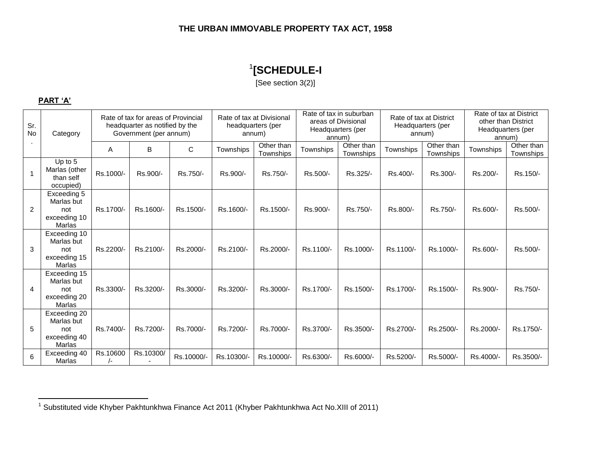## 1 **[SCHEDULE-I**

[See section 3(2)]

#### **PART 'A'**

| Sr.<br>No      | Category                                                           | Rate of tax for areas of Provincial<br>headquarter as notified by the<br>Government (per annum) |           | Rate of tax at Divisional<br>headquarters (per<br>annum) |            | Rate of tax in suburban<br>areas of Divisional<br>Headquarters (per<br>annum) |           | Rate of tax at District<br>Headquarters (per<br>annum) |           | Rate of tax at District<br>other than District<br>Headquarters (per<br>annum) |           |                         |
|----------------|--------------------------------------------------------------------|-------------------------------------------------------------------------------------------------|-----------|----------------------------------------------------------|------------|-------------------------------------------------------------------------------|-----------|--------------------------------------------------------|-----------|-------------------------------------------------------------------------------|-----------|-------------------------|
|                |                                                                    | A                                                                                               | B         | C                                                        | Townships  | Other than<br>Townships                                                       | Townships | Other than<br>Townships                                | Townships | Other than<br>Townships                                                       | Townships | Other than<br>Townships |
|                | Up to 5<br>Marlas (other<br>than self<br>occupied)                 | Rs.1000/-                                                                                       | Rs.900/-  | Rs.750/-                                                 | Rs.900/-   | Rs.750/-                                                                      | Rs.500/-  | Rs.325/-                                               | Rs.400/-  | Rs.300/-                                                                      | Rs.200/-  | Rs.150/-                |
| $\overline{2}$ | Exceeding 5<br>Marlas but<br>not<br>exceeding 10<br>Marlas         | Rs.1700/-                                                                                       | Rs.1600/- | Rs.1500/-                                                | Rs.1600/-  | Rs.1500/-                                                                     | Rs.900/-  | Rs.750/-                                               | Rs.800/-  | Rs.750/-                                                                      | Rs.600/-  | Rs.500/-                |
| 3              | Exceeding 10<br>Marlas but<br>not<br>exceeding 15<br><b>Marlas</b> | Rs.2200/-                                                                                       | Rs.2100/- | Rs.2000/-                                                | Rs.2100/-  | Rs.2000/-                                                                     | Rs.1100/- | Rs.1000/-                                              | Rs.1100/- | Rs.1000/-                                                                     | Rs.600/-  | Rs.500/-                |
| 4              | Exceeding 15<br>Marlas but<br>not<br>exceeding 20<br>Marlas        | Rs.3300/-                                                                                       | Rs.3200/- | Rs.3000/-                                                | Rs.3200/-  | Rs.3000/-                                                                     | Rs.1700/- | Rs.1500/-                                              | Rs.1700/- | Rs.1500/-                                                                     | Rs.900/-  | Rs.750/-                |
| 5              | Exceeding 20<br>Marlas but<br>not<br>exceeding 40<br><b>Marlas</b> | Rs.7400/-                                                                                       | Rs.7200/- | Rs.7000/-                                                | Rs.7200/-  | Rs.7000/-                                                                     | Rs.3700/- | Rs.3500/-                                              | Rs.2700/- | Rs.2500/-                                                                     | Rs.2000/- | Rs.1750/-               |
| 6              | Exceeding 40<br>Marlas                                             | Rs.10600<br>$\frac{1}{2}$                                                                       | Rs.10300/ | Rs.10000/-                                               | Rs.10300/- | Rs.10000/-                                                                    | Rs.6300/- | Rs.6000/-                                              | Rs.5200/- | Rs.5000/-                                                                     | Rs.4000/- | Rs.3500/-               |

 1 Substituted vide Khyber Pakhtunkhwa Finance Act 2011 (Khyber Pakhtunkhwa Act No.XIII of 2011)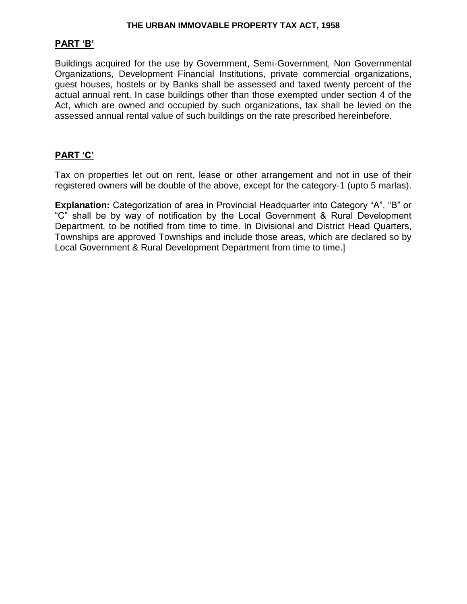### **PART 'B'**

Buildings acquired for the use by Government, Semi-Government, Non Governmental Organizations, Development Financial Institutions, private commercial organizations, guest houses, hostels or by Banks shall be assessed and taxed twenty percent of the actual annual rent. In case buildings other than those exempted under section 4 of the Act, which are owned and occupied by such organizations, tax shall be levied on the assessed annual rental value of such buildings on the rate prescribed hereinbefore.

### **PART 'C'**

Tax on properties let out on rent, lease or other arrangement and not in use of their registered owners will be double of the above, except for the category-1 (upto 5 marlas).

**Explanation:** Categorization of area in Provincial Headquarter into Category "A", "B" or "C" shall be by way of notification by the Local Government & Rural Development Department, to be notified from time to time. In Divisional and District Head Quarters, Townships are approved Townships and include those areas, which are declared so by Local Government & Rural Development Department from time to time.]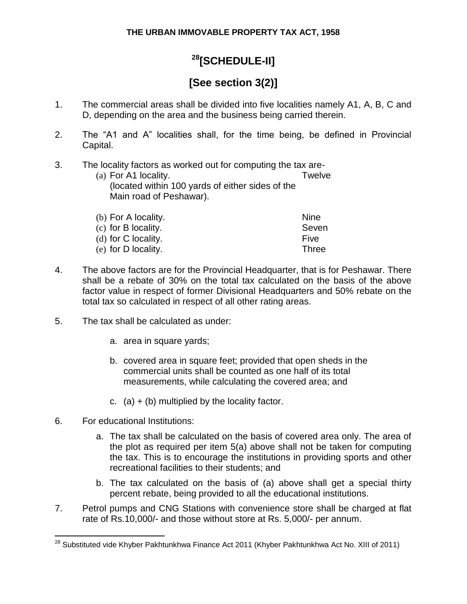# **<sup>28</sup>[SCHEDULE-II]**

# **[See section 3(2)]**

- 1. The commercial areas shall be divided into five localities namely A1, A, B, C and D, depending on the area and the business being carried therein.
- 2. The "A1 and A" localities shall, for the time being, be defined in Provincial Capital.
- 3. The locality factors as worked out for computing the tax are- (a) For A1 locality. Twelve (located within 100 yards of either sides of the

Main road of Peshawar).

| <b>Nine</b>  |
|--------------|
| Seven        |
| Five         |
| <b>Three</b> |
|              |

- 4. The above factors are for the Provincial Headquarter, that is for Peshawar. There shall be a rebate of 30% on the total tax calculated on the basis of the above factor value in respect of former Divisional Headquarters and 50% rebate on the total tax so calculated in respect of all other rating areas.
- 5. The tax shall be calculated as under:
	- a. area in square yards;
	- b. covered area in square feet; provided that open sheds in the commercial units shall be counted as one half of its total measurements, while calculating the covered area; and
	- c. (a)  $+$  (b) multiplied by the locality factor.
- 6. For educational Institutions:

- a. The tax shall be calculated on the basis of covered area only. The area of the plot as required per item 5(a) above shall not be taken for computing the tax. This is to encourage the institutions in providing sports and other recreational facilities to their students; and
- b. The tax calculated on the basis of (a) above shall get a special thirty percent rebate, being provided to all the educational institutions.
- 7. Petrol pumps and CNG Stations with convenience store shall be charged at flat rate of Rs.10,000/- and those without store at Rs. 5,000/- per annum.

 $^{28}$  Substituted vide Khyber Pakhtunkhwa Finance Act 2011 (Khyber Pakhtunkhwa Act No. XIII of 2011)